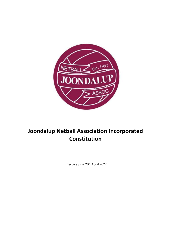

# **Joondalup Netball Association Incorporated Constitution**

Effective as at  $20^{\text{th}}$  April 2022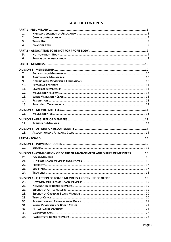## **TABLE OF CONTENTS**

| 1.  |                                                                         |  |
|-----|-------------------------------------------------------------------------|--|
| 2.  |                                                                         |  |
| 3.  |                                                                         |  |
| 4.  |                                                                         |  |
|     |                                                                         |  |
|     |                                                                         |  |
| 5.  |                                                                         |  |
| 6.  |                                                                         |  |
|     |                                                                         |  |
|     |                                                                         |  |
| 7.  |                                                                         |  |
| 8.  |                                                                         |  |
| 9.  |                                                                         |  |
| 10. |                                                                         |  |
| 11. |                                                                         |  |
| 12. |                                                                         |  |
| 13. |                                                                         |  |
| 14. |                                                                         |  |
| 15. |                                                                         |  |
|     |                                                                         |  |
|     |                                                                         |  |
| 16. |                                                                         |  |
|     |                                                                         |  |
| 17. |                                                                         |  |
|     |                                                                         |  |
|     |                                                                         |  |
| 18. |                                                                         |  |
|     |                                                                         |  |
|     |                                                                         |  |
| 19. |                                                                         |  |
|     |                                                                         |  |
|     | DIVISION 2 - COMPOSITION OF BOARD OF MANAGEMENT AND DUTIES OF MEMBERS16 |  |
| 20. |                                                                         |  |
| 21. |                                                                         |  |
|     |                                                                         |  |
| 22. |                                                                         |  |
| 23. |                                                                         |  |
| 24. |                                                                         |  |
|     |                                                                         |  |
| 25. |                                                                         |  |
| 26. |                                                                         |  |
| 27. |                                                                         |  |
| 28. |                                                                         |  |
| 29. |                                                                         |  |
| 30. |                                                                         |  |
| 31. |                                                                         |  |
| 32. |                                                                         |  |
| 33. |                                                                         |  |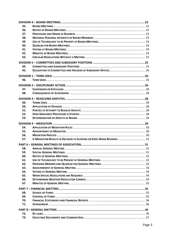| 35. |                                                                       |  |  |  |  |
|-----|-----------------------------------------------------------------------|--|--|--|--|
| 36. |                                                                       |  |  |  |  |
| 37. |                                                                       |  |  |  |  |
| 38. |                                                                       |  |  |  |  |
| 39. |                                                                       |  |  |  |  |
| 40. |                                                                       |  |  |  |  |
| 41. |                                                                       |  |  |  |  |
| 42. |                                                                       |  |  |  |  |
| 43. |                                                                       |  |  |  |  |
|     |                                                                       |  |  |  |  |
| 44. |                                                                       |  |  |  |  |
| 45. |                                                                       |  |  |  |  |
|     |                                                                       |  |  |  |  |
|     |                                                                       |  |  |  |  |
| 46. |                                                                       |  |  |  |  |
|     |                                                                       |  |  |  |  |
| 47. |                                                                       |  |  |  |  |
| 48. |                                                                       |  |  |  |  |
|     |                                                                       |  |  |  |  |
| 49. |                                                                       |  |  |  |  |
| 50. |                                                                       |  |  |  |  |
| 51. |                                                                       |  |  |  |  |
| 52. |                                                                       |  |  |  |  |
| 53. |                                                                       |  |  |  |  |
|     |                                                                       |  |  |  |  |
|     |                                                                       |  |  |  |  |
|     |                                                                       |  |  |  |  |
| 54. |                                                                       |  |  |  |  |
| 55. |                                                                       |  |  |  |  |
| 56. |                                                                       |  |  |  |  |
| 57. | IF MEDIATION RESULTS IN DECISION TO SUSPEND OR EXPEL BEING REVOKED 31 |  |  |  |  |
|     |                                                                       |  |  |  |  |
| 58. |                                                                       |  |  |  |  |
| 59. |                                                                       |  |  |  |  |
| 60. |                                                                       |  |  |  |  |
| 61. |                                                                       |  |  |  |  |
| 62. |                                                                       |  |  |  |  |
| 63. |                                                                       |  |  |  |  |
| 64. |                                                                       |  |  |  |  |
| 65. |                                                                       |  |  |  |  |
| 66. |                                                                       |  |  |  |  |
| 67. |                                                                       |  |  |  |  |
|     |                                                                       |  |  |  |  |
|     |                                                                       |  |  |  |  |
| 68. |                                                                       |  |  |  |  |
| 69. |                                                                       |  |  |  |  |
| 70. |                                                                       |  |  |  |  |
| 71. |                                                                       |  |  |  |  |
|     |                                                                       |  |  |  |  |
| 72. |                                                                       |  |  |  |  |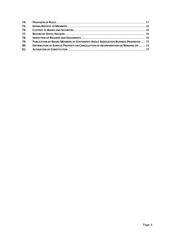| 75. |                                                                                            |  |
|-----|--------------------------------------------------------------------------------------------|--|
| 76. |                                                                                            |  |
| 77. |                                                                                            |  |
| 78. |                                                                                            |  |
| 79. | PUBLICATION BY BOARD MEMBERS OF STATEMENTS ABOUT ASSOCIATION BUSINESS PROHIBITED  39       |  |
| 80. | <b>DISTRIBUTION OF SURPLUS PROPERTY ON CANCELLATION OF INCORPORATION OR WINDING UP  39</b> |  |
|     |                                                                                            |  |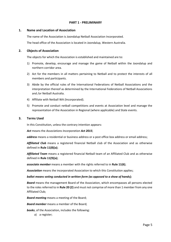## **PART 1 - PRELIMINARY**

#### <span id="page-4-1"></span><span id="page-4-0"></span>**1. Name and Location of Association**

The name of the Association is Joondalup Netball Association Incorporated.

The head office of the Association is located in Joondalup, Western Australia.

## <span id="page-4-2"></span>**2. Objects of Association**

The objects for which the Association is established and maintained are to:

- 1) Promote, develop, encourage and manage the game of Netball within the Joondalup and northern corridor area.
- 2) Act for the members in all matters pertaining to Netball and to protect the interests of all members and participants.
- 3) Abide by the official rules of the International Federations of Netball Associations and the interpretation thereof as determined by the International Federations of Netball Associations and /or Netball Australia.
- 4) Affiliate with Netball WA (Incorporated).
- 5) Promote and conduct netball competitions and events at Association level and manage the representation of the Association in Regional (where applicable) and State events.

## <span id="page-4-3"></span>**3. Terms Used**

In this Constitution, unless the contrary intention appears:

*Act* means the *Associations Incorporation Act 2015*;

*address* means a residential or business address or a post office box address or email address;

*Affiliated Club* means a registered financial Netball club of the Association and as otherwise defined in **Rule 11(8)(a)**;

*Affiliated Team* means a registered financial Netball team of an Affiliated Club and as otherwise defined in **Rule 11(9)(a)**;

*associate member* means a member with the rights referred to in **Rule 11(6)**;

*Association* means the incorporated Association to which this Constitution applies;

#### *ballot means voting conducted in written form (as opposed to a show of hands);*

*Board* means the management Board of the Association, which encompasses all persons elected to the roles referred to in **Rule 20 (2)** and must not comprise of more than 1 member from any one Affiliated Club;

*Board meeting* means a meeting of the Board;

*Board member* means a member of the Board;

*books*, of the Association, includes the following:

a) a register;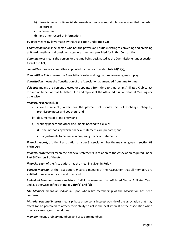- b) financial records, financial statements or financial reports, however compiled, recorded or stored;
- c) a document;
- d) any other record of information;

*By-laws* means By-laws made by the Association under **Rule 72**;

*Chairperson* means the person who has the powers and duties relating to convening and presiding at Board meetings and presiding at general meetings provided for in this Constitution;

*Commissioner* means the person for the time being designated as the Commissioner under **section 153** of the **Act**;

*committee* means a committee appointed by the Board under **Rule 44(1)(a)**;

*Competition Rules* means the Association's rules and regulations governing match play;

**Constitution** means the Constitution of the Association as amended from time to time;

*delegate* means the persons elected or appointed from time to time by an Affiliated Club to act for and on behalf of that Affiliated Club and represent the Affiliated Club at General Meetings or otherwise;

## *financial records* include:

- a) invoices, receipts, orders for the payment of money, bills of exchange, cheques, promissory notes and vouchers; and
- b) documents of prime entry; and
- c) working papers and other documents needed to explain:
	- i) the methods by which financial statements are prepared; and
	- ii) adjustments to be made in preparing financial statements;

*financial report*, of a tier 2 association or a tier 3 association, has the meaning given in **section 63** of the **Act**;

*financial statements* mean the financial statements in relation to the Association required under **Part 5 Division 3** of the **Act**;

*financial year*, of the Association, has the meaning given in **Rule 4**;

*general meeting*, of the Association, means a meeting of the Association that all members are entitled to receive notice of and to attend;

*Individual Member* means a registered individual member of an Affiliated Club or Affiliated Team and as otherwise defined in **Rules 11(9)(b) and (c)**;

*Life Member* means an individual upon whom life membership of the Association has been conferred;

*Material personal interest* means private or personal interest outside of the association that may affect (or be perceived to affect) their ability to act in the best interest of the association when they are carrying out their duties.

*member* means ordinary members and associate members;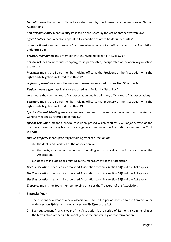*Netball* means the game of Netball as determined by the International Federations of Netball Associations;

*non-delegable duty* means a duty imposed on the Board by the Act or another written law;

*office holder* means a person appointed to a position of office holder under **Rul[e 20](#page-15-1)***;*

*ordinary Board member* means a Board member who is not an office holder of the Association under **Rule 28**;

*ordinary member* means a member with the rights referred to in **Rule 11(5)**;

*person* includes an individual, company, trust, partnership, incorporated Association, organisation and entity;

*President* means the Board member holding office as the President of the Association with the rights and obligations referred to in **Rule 22**;

*register of members* means the register of members referred to in **section 53** of the **Act**;

*Region* means a geographical area endorsed as a Region by Netball WA;

*seal* means the common seal of the Association and includes any official seal of the Association;

*Secretary* means the Board member holding office as the Secretary of the Association with the rights and obligations referred to in **Rule 23**;

*Special General Meeting* means a general meeting of the Association other than the Annual General Meeting as referred to in **Rule 59**;

*special resolution* means a special resolution passed which requires 75% majority vote of the members present and eligible to vote at a general meeting of the Association as per **section 51** of the **Act**;

*surplus property* means property remaining after satisfaction of:

- d) the debts and liabilities of the Association; and
- e) the costs, charges and expenses of winding up or cancelling the incorporation of the Association,

but does not include books relating to the management of the Association;

*tier 1 association* means an incorporated Association to which **section 64(1)** of the **Act** applies;

*tier 2 association* means an incorporated Association to which **section 64(2**) of the **Act** applies;

*tier 3 association* means an incorporated Association to which **section 64(3)** of the **Act** applies;

*Treasurer* means the Board member holding office as the Treasurer of the Association.

## <span id="page-6-0"></span>**4. Financial Year**

- 1) The first financial year of a new Association is to be the period notified to the Commissioner under **section 7(4)(e)** or if relevant **section 29(5)(e)** of the Act.
- 2) Each subsequent financial year of the Association is the period of 12 months commencing at the termination of the first financial year or the anniversary of that termination.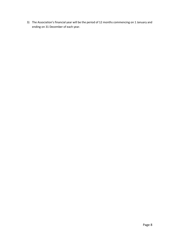3) The Association's financial year will be the period of 12 months commencing on 1 January and ending on 31 December of each year.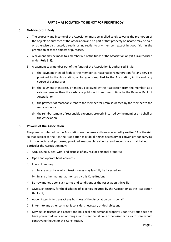## **PART 2 – ASSOCIATION TO BE NOT FOR PROFIT BODY**

#### <span id="page-8-1"></span><span id="page-8-0"></span>**5. Not-for-profit Body**

- 1) The property and income of the Association must be applied solely towards the promotion of the objects or purposes of the Association and no part of that property or income may be paid or otherwise distributed, directly or indirectly, to any member, except in good faith in the promotion of those objects or purposes.
- 2) A payment may be made to a member out of the funds of the Association only if it is authorised under **Rule 5(3)**.
- 3) A payment to a member out of the funds of the Association is authorised if it is:
	- a) the payment in good faith to the member as reasonable remuneration for any services provided to the Association, or for goods supplied to the Association, in the ordinary course of business; or
	- b) the payment of interest, on money borrowed by the Association from the member, at a rate not greater than the cash rate published from time to time by the Reserve Bank of Australia; or
	- c) the payment of reasonable rent to the member for premises leased by the member to the Association; or
	- d) the reimbursement of reasonable expenses properly incurred by the member on behalf of the Association.

#### <span id="page-8-2"></span>**6. Powers of the Association**

The powers conferred on the Association are the same as those conferred by **section 14** of the **Act**, so that subject to the Act, the Association may do all things necessary or convenient for carrying out its objects and purposes, provided reasonable evidence and records are maintained. In particular the Association may:

- 1) Acquire, hold, deal with, and dispose of any real or personal property;
- 2) Open and operate bank accounts;
- 3) Invest its money:
	- a) In any security in which trust monies may lawfully be invested; or
	- b) In any other manner authorised by this Constitution;
- 4) Borrow money upon such terms and conditions as the Association thinks fit;
- 5) Give such security for the discharge of liabilities incurred by the Association as the Association thinks fit;
- 6) Appoint agents to transact any business of the Association on its behalf;
- 7) Enter into any other contract it considers necessary or desirable; and
- 8) May act as trustee and accept and hold real and personal property upon trust but does not have power to do any act or thing as a trustee that, if done otherwise than as a trustee, would contravene the Act or this Constitution.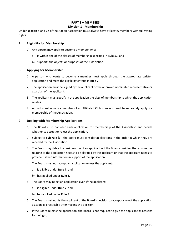## **PART 3 – MEMBERS Division 1 - Membership**

<span id="page-9-1"></span><span id="page-9-0"></span>Under **section 4** and **17** of the **Act** an Association must always have at least 6 members with full voting rights.

## <span id="page-9-2"></span>**7. Eligibility for Membership**

- 1) Any person may apply to become a member who:
	- a) is within one of the classes of membership specified in **Rule [11](#page-10-1)**; and
	- b) supports the objects or purposes of the Association.

## <span id="page-9-3"></span>**8. Applying for Membership**

- 1) A person who wants to become a member must apply through the appropriate written application and meet the eligibility criteria in **Rule [7](#page-9-2)**.
- 2) The application must be signed by the applicant or the approved nominated representative or guardian of the applicant.
- 3) The applicant must specify in the application the class of membership to which the application relates.
- 4) An individual who is a member of an Affiliated Club does not need to separately apply for membership of the Association.

## <span id="page-9-4"></span>**9. Dealing with Membership Applications**

- 1) The Board must consider each application for membership of the Association and decide whether to accept or reject the application.
- 2) Subject to **sub-rule (3)**, the Board must consider applications in the order in which they are received by the Association.
- 3) The Board may delay its consideration of an application if the Board considers that any matter relating to the application needs to be clarified by the applicant or that the applicant needs to provide further information in support of the application.
- 4) The Board must not accept an application unless the applicant:
	- a) is eligible under **Rule [7](#page-9-2)**; and
	- b) has applied under **Rule [8](#page-9-3)**.
- 5) The Board may reject an application even if the applicant:
	- a) is eligible under **Rule [7](#page-9-2)**; and
	- b) has applied under **Rule [8](#page-9-3)**.
- 6) The Board must notify the applicant of the Board's decision to accept or reject the application as soon as practicable after making the decision.
- 7) If the Board rejects the application, the Board is not required to give the applicant its reasons for doing so.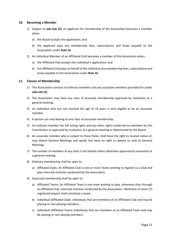#### <span id="page-10-0"></span>**10. Becoming a Member**

- 1) Subject to **sub-rule [\(2\)](#page-10-2)**, an applicant for membership of the Association becomes a member when:
	- a) the Board accepts the application; and
	- b) the applicant pays any membership fees, subscriptions and levies payable to the Association under **Rule 16**.
- <span id="page-10-2"></span>2) An Individual Member of an Affiliated Club becomes a member of the Association when:
	- a) the Affiliated Club accepts the individual's application; and
	- b) the Affiliated Club pays on behalf of the individual any membership fees, subscriptions and levies payable to the Association under **Rule 16**.

## <span id="page-10-1"></span>**11. Classes of Membership**

- 1) The Association consists of ordinary members and any associate members provided for under **sub-rule (2)**.
- 2) The Association may have any class of associate membership approved by resolution at a general meeting.
- 3) An individual who has not reached the age of 18 years is only eligible to be an associate member.
- 4) A person can only belong to one class of associate membership.
- 5) An ordinary member has full voting rights and any other rights conferred on members by this Constitution or approved by resolution at a general meeting or determined by the Board.
- 6) An associate member who is subject to these Rules, shall have the right to receive notice of, may attend General Meetings and speak, but have no right to debate or vote at General Meetings.
- 7) The number of members of any class is not limited unless otherwise approved by resolution at a general meeting.
- 8) Ordinary membership shall be open to:
	- a) Affiliated Clubs: An Affiliated Club is one or more Teams wishing to register as a Club and play interclub matches conducted by the Association.
- 9) Associate membership shall be open to:
	- a) Affiliated Teams: An Affiliated Team is one team wishing to play, otherwise than through an Affiliated Club, interclub matches conducted by the Association. Minimum of seven (7) registered players shall constitute a team;
	- b) Individual (Affiliated Club): individuals that are members of an Affiliated Club and may be playing or non-playing members;
	- c) Individual (Affiliated Team): individuals that are members of an Affiliated Team and may be playing or non-playing members;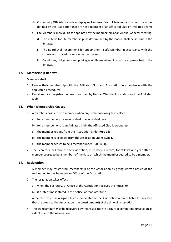- d) Community Officials: include non-playing Umpires, Board Members and other officials as defined by the Association that are not a member of an Affiliated Club or Affiliated Team;
- e) Life Members: individuals as appointed by the membership at an Annual General Meeting:
	- i) The criteria for life membership, as determined by the Board, shall be set out in the By-laws;
	- ii) The Board shall recommend for appointment a Life Member in accordance with the criteria and procedure set out in the By-laws;
	- iii) Conditions, obligations and privileges of life membership shall be as prescribed in the By-laws.

## <span id="page-11-0"></span>**12. Membership Renewal**

Members shall:

- 1) Renew their membership with the Affiliated Club and Association in accordance with the applicable procedures.
- 2) Pay all required registration fees prescribed by Netball WA, the Association and the Affiliated Club.

#### <span id="page-11-1"></span>**13. When Membership Ceases**

- 1) A member ceases to be a member when any of the following takes place:
	- a) for a member who is an individual, the individual dies;
	- b) for a member who is an Affiliated Club, the Affiliated Club is wound up;
	- c) the member resigns from the Association under **Rule 14**;
	- d) the member is expelled from the Association under **Rule 47**;
	- e) the member ceases to be a member under **Rule 16(4)**.
- 2) The Secretary, or Office of the Association, must keep a record, for at least one year after a member ceases to be a member, of the date on which the member ceased to be a member.

#### <span id="page-11-2"></span>**14. Resignation**

- 1) A member may resign from membership of the Association by giving written notice of the resignation to the Secretary, or Office of the Association.
- 2) The resignation takes effect:
	- a) when the Secretary, or Office of the Association receives the notice; or
	- b) if a later time is stated in the notice, at that later time.
- 3) A member who has resigned from membership of the Association remains liable for any fees that are owed to the Association (the *owed amount*) at the time of resignation.
- 4) The owed amount may be recovered by the Association in a court of competent jurisdiction as a debt due to the Association.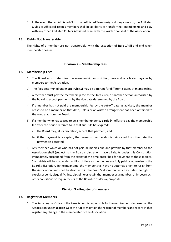5) In the event that an Affiliated Club or an Affiliated Team resigns during a season, the Affiliated Club's or Affiliated Team's members shall be at liberty to transfer their membership and play with any other Affiliated Club or Affiliated Team with the written consent of the Association.

## <span id="page-12-0"></span>**15. Rights Not Transferable**

<span id="page-12-1"></span>The rights of a member are not transferable, with the exception of **Rule 14(5)** and end when membership ceases.

## **Division 2 – Membership fees**

#### <span id="page-12-2"></span>**16. Membership Fees**

- 1) The Board must determine the membership subscription, fees and any levies payable by members to the Association.
- 2) The fees determined under **sub-rule (1)** may be different for different classes of membership.
- 3) A member must pay the membership fee to the Treasurer, or another person authorised by the Board to accept payments, by the due date determined by the Board.
- 4) If a member has not paid the membership fee by the cut-off date as advised, the member ceases to be a member on that date, unless prior written arrangement has been obtained to the contrary, from the Board.
- 5) If a member who has ceased to be a member under **sub-rule (4)** offers to pay the membership fee after the period referred to in that sub-rule has expired:
	- a) the Board may, at its discretion, accept that payment; and
	- b) if the payment is accepted, the person's membership is reinstated from the date the payment is accepted.
- 6) Any member which or who has not paid all monies due and payable by that member to the Association shall (subject to the Board's discretion) have all rights under this Constitution immediately suspended from the expiry of the time prescribed for payment of those monies. Such rights will be suspended until such time as the monies are fully paid or otherwise in the Board's discretion. In the meantime, the member shall have no automatic right to resign from the Association, and shall be dealt with in the Board's discretion, which includes the right to expel, suspend, disqualify, fine, discipline or retain that member as a member, or impose such other conditions or requirements as the Board considers appropriate.

## **Division 3 – Register of members**

#### <span id="page-12-4"></span><span id="page-12-3"></span>**17. Register of Members**

1) The Secretary, or Office of the Association, is responsible for the requirements imposed on the Association under **section 53** of the **Act** to maintain the register of members and record in that register any change in the membership of the Association.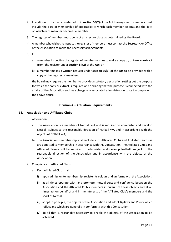- 2) In addition to the matters referred to in **section 53(2)** of the **Act**, the register of members must include the class of membership (if applicable) to which each member belongs and the date on which each member becomes a member.
- 3) The register of members must be kept at a secure place as determined by the Board.
- 4) A member who wishes to inspect the register of members must contact the Secretary, or Office of the Association to make the necessary arrangements.
- 5) If:
	- a) a member inspecting the register of members wishes to make a copy of, or take an extract from, the register under **section 54(2)** of the **Act**; or
	- b) a member makes a written request under **section 56(1)** of the **Act** to be provided with a copy of the register of members,

the Board may require the member to provide a statutory declaration setting out the purpose for which the copy or extract is required and declaring that the purpose is connected with the affairs of the Association and may charge any associated administration costs to comply with the above clause.

## **Division 4 – Affiliation Requirements**

## <span id="page-13-1"></span><span id="page-13-0"></span>**18. Association and Affiliated Clubs**

- 1) Association:
	- a) The Association is a member of Netball WA and is required to administer and develop Netball, subject to the reasonable direction of Netball WA and in accordance with the objects of Netball WA;
	- b) The Association's membership shall include such Affiliated Clubs and Affiliated Teams as are admitted to membership in accordance with this Constitution. The Affiliated Clubs and Affiliated Teams will be required to administer and develop Netball, subject to the reasonable direction of the Association and in accordance with the objects of the Association.
- 2) Compliance of Affiliated Clubs:
	- a) Each Affiliated Club must:
		- i) upon admission to membership, register its colours and uniforms with the Association;
		- ii) at all times operate with, and promote, mutual trust and confidence between the Association and the Affiliated Club's members in pursuit of these objects and at all times act on behalf of and in the interests of the Affiliated Club's members and the sport of Netball;
		- iii) adopt in principle, the objects of the Association and adopt By-laws and Policy which reflect and which are generally in conformity with this Constitution;
		- iv) do all that is reasonably necessary to enable the objects of the Association to be achieved;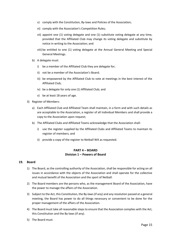- v) comply with the Constitution, By-laws and Policies of the Association;
- vi) comply with the Association's Competition Rules;
- vii) appoint one (1) voting delegate and one (1) substitute voting delegate at any time, provided that the Affiliated Club may change its voting delegate and substitute by notice in writing to the Association; and
- viii) be entitled to one (1) voting delegate at the Annual General Meeting and Special General Meetings.
- b) A delegate must:
	- i) be a member of the Affiliated Club they are delegate for;
	- ii) not be a member of the Association's Board;
	- iii) be empowered by the Affiliated Club to vote at meetings in the best interest of the Affiliated Club;
	- iv) be a delegate for only one (1) Affiliated Club; and
	- v) be at least 18 years of age.
- 3) Register of Members:
	- a) Each Affiliated Club and Affiliated Team shall maintain, in a form and with such details as are acceptable to the Association, a register of all Individual Members and shall provide a copy to the Association upon request;
	- b) The Affiliated Clubs and Affiliated Teams acknowledge that the Association shall:
		- i) use the register supplied by the Affiliated Clubs and Affiliated Teams to maintain its register of members; and
		- ii) provide a copy of the register to Netball WA as requested.

## **PART 4 – BOARD Division 1 – Powers of Board**

#### <span id="page-14-2"></span><span id="page-14-1"></span><span id="page-14-0"></span>**19. Board**

- 1) The Board, as the controlling authority of the Association, shall be responsible for acting on all issues in accordance with the objects of the Association and shall operate for the collective and mutual benefit of the Association and the sport of Netball.
- 2) The Board members are the persons who, as the management Board of the Association, have the power to manage the affairs of the Association.
- 3) Subject to the Act, this Constitution, the By-laws (if any) and any resolution passed at a general meeting, the Board has power to do all things necessary or convenient to be done for the proper management of the affairs of the Association.
- 4) The Board must take all reasonable steps to ensure that the Association complies with the Act, this Constitution and the By-laws (if any).
- 5) The Board must: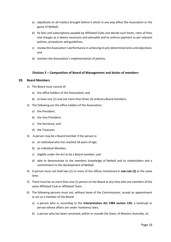- a) adjudicate on all matters brought before it which in any way effect the Association or the game of Netball;
- b) fix fees and subscriptions payable by Affiliated Clubs and decide such levies, rates of fines and charges as it deems necessary and advisable and to enforce payment as per relevant policies, procedures and guidelines;
- c) review the Association's performance in achieving its pre-determined aims and objectives; and
- d) monitor the Association's implementation of policies.

## **Division 2 – Composition of Board of Management and duties of members**

## <span id="page-15-2"></span><span id="page-15-1"></span><span id="page-15-0"></span>**20. Board Members**

- 1) The Board must consist of:
	- a) the office holders of the Association; and
	- b) at least one (1) and not more than three (3) ordinary Board members.
- 2) The following are the office holders of the Association:
	- a) the President;
	- b) the Vice President;
	- c) the Secretary; and
	- d) the Treasurer.
- 3) A person may be a Board member if the person is:
	- a) an individual who has reached 18 years of age;
	- b) an Individual Member;
	- c) eligible under the Act to be a Board member; and
	- d) able to demonstrate to the members knowledge of Netball and its stakeholders and a commitment to the development of Netball.
- 4) A person must not hold two (2) or more of the offices mentioned in **sub-rule (2)** at the same time.
- 5) There must be no more than one (1) person on the Board at any time who are members of the same Affiliated Club or Affiliated Team.
- 6) The following persons must not, without leave of the Commissioner, accept an appointment or act as a member of the Board:
	- a) a person who is, according to the **Interpretation Act 1984 section 13D**, a bankrupt or person whose affairs are under insolvency laws;
	- b) a person who has been convicted, within or outside the State, of Western Australia, of;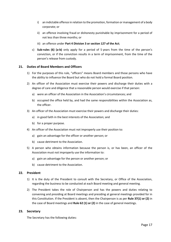- i) an indictable offence in relation to the promotion, formation or management of a body corporate; or
- ii) an offence involving fraud or dishonesty punishable by imprisonment for a period of not less than three months; or
- iii) an offence under **Part 4 Division 3 or section 127 of the Act**;
- c) **Sub-rules (6) (a-b)** only apply for a period of 5 years from the time of the person's conviction, or if the conviction results in a term of imprisonment, from the time of the person's release from custody.

## **21. Duties of Board Members and Officers**

- 1) For the purposes of this rule, "officers" means Board members and those persons who have the ability to influence the Board but who do not hold a formal Board position.
- 2) An officer of the Association must exercise their powers and discharge their duties with a degree of care and diligence that a reasonable person would exercise if that person:
	- a) were an officer of the Association in the Association's circumstances; and
	- b) occupied the office held by, and had the same responsibilities within the Association as, the officer.
- 3) An officer of the Association must exercise their powers and discharge their duties:
	- a) in good faith in the best interests of the Association; and
	- b) for a proper purpose.
- 4) An officer of the Association must not improperly use their position to:
	- a) gain an advantage for the officer or another person; or
	- b) cause detriment to the Association.
- 5) A person who obtains information because the person is, or has been, an officer of the Association must not improperly use the information to:
	- a) gain an advantage for the person or another person; or
	- b) cause detriment to the Association.

#### <span id="page-16-0"></span>**22. President**

- 1) It is the duty of the President to consult with the Secretary, or Office of the Association, regarding the business to be conducted at each Board meeting and general meeting.
- 2) The President takes the role of Chairperson and has the powers and duties relating to convening and presiding at Board meetings and presiding at general meetings provided for in this Constitution. If the President is absent, then the Chairperson is as per **Rule 37(1) or (2)** in the case of Board meetings and **Rule 62 (1) or (2)** in the case of general meetings.

## <span id="page-16-1"></span>**23. Secretary**

The Secretary has the following duties: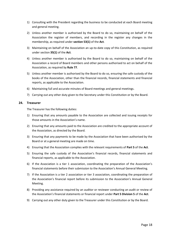- 1) Consulting with the President regarding the business to be conducted at each Board meeting and general meeting.
- 2) Unless another member is authorised by the Board to do so, maintaining on behalf of the Association the register of members, and recording in the register any changes in the membership, as required under **section 53(1)** of the **Act**.
- 3) Maintaining on behalf of the Association an up-to-date copy of this Constitution, as required under section **35(1)** of the **Act**.
- 4) Unless another member is authorised by the Board to do so, maintaining on behalf of the Association a record of Board members and other persons authorised to act on behalf of the Association, as required by **Rule 77**.
- 5) Unless another member is authorised by the Board to do so, ensuring the safe custody of the books of the Association, other than the financial records, financial statements and financial reports, as applicable to the Association.
- 6) Maintaining full and accurate minutes of Board meetings and general meetings.
- 7) Carrying out any other duty given to the Secretary under this Constitution or by the Board.

## <span id="page-17-0"></span>**24. Treasurer**

The Treasurer has the following duties:

- 1) Ensuring that any amounts payable to the Association are collected and issuing receipts for those amounts in the Association's name.
- 2) Ensuring that any amounts paid to the Association are credited to the appropriate account of the Association, as directed by the Board.
- 3) Ensuring that any payments to be made by the Association that have been authorised by the Board or at a general meeting are made on time.
- 4) Ensuring that the Association complies with the relevant requirements of **Part 5** of the **Act**.
- 5) Ensuring the safe custody of the Association's financial records, financial statements and financial reports, as applicable to the Association.
- 6) If the Association is a tier 1 association, coordinating the preparation of the Association's financial statements before their submission to the Association's Annual General Meeting.
- 7) If the Association is a tier 2 association or tier 3 association, coordinating the preparation of the Association's financial report before its submission to the Association's Annual General Meeting.
- 8) Providing any assistance required by an auditor or reviewer conducting an audit or review of the Association's financial statements or financial report under **Part 5 Division 5** of the **Act**.
- <span id="page-17-1"></span>9) Carrying out any other duty given to the Treasurer under this Constitution or by the Board.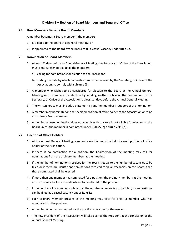## **Division 3 – Election of Board Members and Tenure of Office**

#### <span id="page-18-0"></span>**25. How Members Become Board Members**

A member becomes a Board member if the member:

- 1) Is elected to the Board at a general meeting; or
- 2) Is appointed to the Board by the Board to fill a casual vacancy under **Rule 32**.

#### <span id="page-18-1"></span>**26. Nomination of Board Members**

- 1) At least 21 days before an Annual General Meeting, the Secretary, or Office of the Association, must send written notice to all the members:
	- a) calling for nominations for election to the Board; and
	- b) stating the date by which nominations must be received by the Secretary, or Office of the Association, to comply with **sub-rule (2)**.
- 2) A member who wishes to be considered for election to the Board at the Annual General Meeting must nominate for election by sending written notice of the nomination to the Secretary, or Office of the Association, at least 14 days before the Annual General Meeting.
- 3) The written notice must include a statement by another member in support of the nomination.
- 4) A member may nominate for one specified position of office holder of the Association or to be an ordinary **Board** member.
- 5) A member whose nomination does not comply with this rule is not eligible for election to the Board unless the member is nominated under **Rule 27(2) or Rule 28(1)(b)**.

#### <span id="page-18-2"></span>**27. Election of Office Holders**

- 1) At the Annual General Meeting, a separate election must be held for each position of office holder of the Association.
- 2) If there is no nomination for a position, the Chairperson of the meeting may call for nominations from the ordinary members at the meeting.
- 3) If the number of nominations received for the Board is equal to the number of vacancies to be filled or if there are insufficient nominations received to fill all vacancies on the Board, then those nominated shall be elected.
- 4) If more than one member has nominated for a position, the ordinary members at the meeting must vote via a ballot to decide who is to be elected to the position.
- 5) If the number of nominations is less than the number of vacancies to be filled, those positions can be filled as a casual vacancy under **Rule 32**.
- 6) Each ordinary member present at the meeting may vote for one (1) member who has nominated for the position.
- 7) A member who has nominated for the position may vote for themselves.
- 8) The new President of the Association will take over as the President at the conclusion of the Annual General Meeting.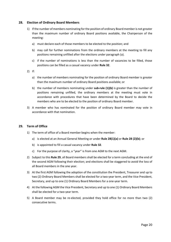#### <span id="page-19-0"></span>**28. Election of Ordinary Board Members**

- 1) If the number of members nominating for the position of ordinary Board member is not greater than the maximum number of ordinary Board positions available, the Chairperson of the meeting:
	- a) must declare each of those members to be elected to the position; and
	- b) may call for further nominations from the ordinary members at the meeting to fill any positions remaining unfilled after the elections under paragraph (a).
	- c) if the number of nominations is less than the number of vacancies to be filled, those positions can be filled as a casual vacancy under **Rule 32**.
- 2) If:
	- a) the number of members nominating for the position of ordinary Board member is greater than the maximum number of ordinary Board positions available; or
	- b) the number of members nominating under **sub-rule (1)(b)** is greater than the number of positions remaining unfilled, the ordinary members at the meeting must vote in accordance with procedures that have been determined by the Board to decide the members who are to be elected to the position of ordinary Board member.
- 3) A member who has nominated for the position of ordinary Board member may vote in accordance with that nomination.

## <span id="page-19-1"></span>**29. Term of Office**

- 1) The term of office of a Board member begins when the member:
	- a) is elected at an Annual General Meeting or under **Rule 28(1)(a)** or **Rule 28 (2)(b)**; or
	- b) is appointed to fill a casual vacancy under **Rule 32**.
	- c) For the purpose of clarity, a "year" is from one AGM to the next AGM.
- 2) Subject to this **Rule 29**, all Board members shall be elected for a term concluding at the end of the second AGM following their election; and elections shall be staggered to avoid the loss of all Board members in the one year.
- 3) At the first AGM following the adoption of the constitution the President, Treasurer and up to two (2) Ordinary Board Members shall be elected for a two-year term, and the Vice President, Secretary, and up to one (1) Ordinary Board Members for a one-year term.
- 4) At the following AGM the Vice President, Secretary and up to one (1) Ordinary Board Members shall be elected for a two-year term.
- 5) A Board member may be re-elected, provided they hold office for no more than two (2) consecutive terms.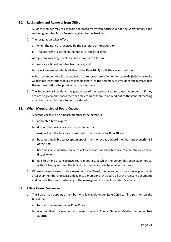#### <span id="page-20-0"></span>**30. Resignation and Removal from Office**

- 1) A Board member may resign from the Board by written notice given to the Secretary or, if the resigning member is the Secretary, given to the President.
- 2) The resignation takes effect:
	- a) when the notice is received by the Secretary or President; or
	- b) if a later time is stated in the notice, at the later time.
- 3) At a general meeting, the Association may by resolution:
	- a) remove a Board member from office; and
	- b) elect a member who is eligible under **Rule 20 (3)** to fill the vacant position.
- 4) A Board member who is the subject of a proposed resolution under **sub-rule (3)(a**) may make written representations (of a reasonable length) to the Secretary or President and may ask that the representations be provided to the members.
- 5) The Secretary or President may give a copy of the representations to each member or, if they are not so given, the Board member may require them to be read out at the general meeting at which the resolution is to be considered.

## <span id="page-20-1"></span>**31. When Membership of Board Ceases**

- 1) A person ceases to be a Board member if the person/s:
	- a) appointed term expires
	- b) dies or otherwise ceases to be a member; or
	- c) resigns from the Board or is removed from office under **Rule 30**; or
	- d) becomes ineligible to accept an appointment or act as a Board member under **section 39** of the **Act**;
	- e) becomes permanently unable to act as a Board member because of a mental or physical disability; or
	- f) fails to attend 3 consecutive Board meetings, of which the person has been given notice, without having notified the Board that the person will be unable to attend.
- 2) Where a person ceases to be a member of the Board, the person must, as soon as practicable after their membership ceases, deliver to a member of the Board all of the relevant documents and records they hold pertaining to the management of the Association's affairs.

## <span id="page-20-2"></span>**32. Filling Casual Vacancies**

- 1) The Board may appoint a member who is eligible under **Rule 20(3)** to fill a position on the Board that:
	- a) has become vacant under **Rule 31**; or
	- b) was not filled by election at the most recent Annual General Meeting or under **Rule 30(3)(b)**.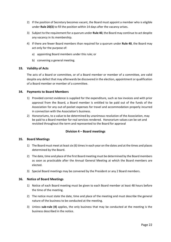- 2) If the position of Secretary becomes vacant, the Board must appoint a member who is eligible under **Rule 20(3)** to fill the position within 14 days after the vacancy arises.
- 3) Subject to the requirement for a quorum under **Rule 40**, the Board may continue to act despite any vacancy in its membership.
- 4) If there are fewer Board members than required for a quorum under **Rule 40**, the Board may act only for the purpose of:
	- a) appointing Board members under this rule; or
	- b) convening a general meeting.

## <span id="page-21-0"></span>**33. Validity of Acts**

The acts of a Board or committee, or of a Board member or member of a committee, are valid despite any defect that may afterwards be discovered in the election, appointment or qualification of a Board member or member of a committee.

## <span id="page-21-1"></span>**34. Payments to Board Members**

- 1) Provided correct evidence is supplied for the expenditure, such as tax invoices and with prior approval from the Board, a Board member is entitled to be paid out of the funds of the Association for any out-of-pocket expenses for travel and accommodation properly incurred in connection with the Association's business.
- 2) Honorariums, to a value to be determined by unanimous resolution of the Association, may be paid to a Board member for real services rendered. Honorarium values can be set and revisited throughout the term and represented to the Board for approval

#### **Division 4 – Board meetings**

#### <span id="page-21-3"></span><span id="page-21-2"></span>**35. Board Meetings**

- 1) The Board must meet at least six (6) times in each year on the dates and at the times and places determined by the Board.
- 2) The date, time and place of the first Board meeting must be determined by the Board members as soon as practicable after the Annual General Meeting at which the Board members are elected.
- 3) Special Board meetings may be convened by the President or any 2 Board members.

#### <span id="page-21-4"></span>**36. Notice of Board Meetings**

- 1) Notice of each Board meeting must be given to each Board member at least 48 hours before the time of the meeting.
- 2) The notice must state the date, time and place of the meeting and must describe the general nature of the business to be conducted at the meeting.
- 3) Unless **sub-rule (4)** applies, the only business that may be conducted at the meeting is the business described in the notice.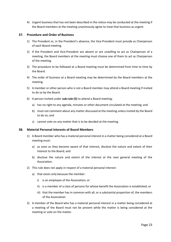4) Urgent business that has not been described in the notice may be conducted at the meeting if the Board members at the meeting unanimously agree to treat that business as urgent.

#### <span id="page-22-0"></span>**37. Procedure and Order of Business**

- 1) The President or, in the President's absence, the Vice-President must preside as Chairperson of each Board meeting.
- 2) If the President and Vice-President are absent or are unwilling to act as Chairperson of a meeting, the Board members at the meeting must choose one of them to act as Chairperson of the meeting.
- 3) The procedure to be followed at a Board meeting must be determined from time to time by the Board.
- 4) The order of business at a Board meeting may be determined by the Board members at the meeting.
- 5) A member or other person who is not a Board member may attend a Board meeting if invited to do so by the Board.
- 6) A person invited under **sub-rule (5)** to attend a Board meeting:
	- a) has no right to any agenda, minutes or other document circulated at the meeting; and
	- b) must not comment about any matter discussed at the meeting unless invited by the Board to do so; and
	- c) cannot vote on any matter that is to be decided at the meeting.

#### <span id="page-22-1"></span>**38. Material Personal Interests of Board Members**

- 1) A Board member who has a material personal interest in a matter being considered at a Board meeting must:
	- a) as soon as they become aware of that interest, disclose the nature and extent of their interest to the Board; and
	- b) disclose the nature and extent of the interest at the next general meeting of the Association.
- 2) This rule does not apply in respect of a material personal interest:
	- a) that exists only because the member:
		- i) is an employee of the Association; or
		- ii) is a member of a class of persons for whose benefit the Association is established; or
		- iii) that the member has in common with all, or a substantial proportion of, the members of the Association.
- 3) A member of the Board who has a material personal interest in a matter being considered at a meeting of the Board must not be present while the matter is being considered at the meeting or vote on the matter.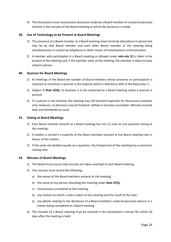4) The Association must record every disclosure made by a Board member of a material personal interest in the minutes of the Board meeting at which the disclosure is made.

## <span id="page-23-0"></span>**39. Use of Technology to be Present at Board Meetings**

- 1) The presence of a Board member at a Board meeting need not be by attendance in person but may be by that Board member and each other Board member at the meeting being simultaneously in contact by telephone or other means of instantaneous communication.
- 2) A member who participates in a Board meeting as allowed under **sub-rule (1)** is taken to be present at the meeting and, if the member votes at the meeting, the member is taken to have voted in person.

## <span id="page-23-1"></span>**40. Quorum for Board Meetings**

- 1) At meetings of the Board the number of Board members whose presence or participation is required to constitute a quorum is the majority which is defined as 50% of the Board plus 1.
- 2) Subject to **Rule 32(4),** no business is to be conducted at a Board meeting unless a quorum is present.
- 3) If a quorum is not reached, the meeting may still proceed inquorate for discussions purposes only. However, no decisions may be finalised, ratified or business concluded. Minutes must be kept and distributed as usual.

## <span id="page-23-2"></span>**41. Voting at Board Meetings**

- 1) Each Board member present at a Board meeting has one (1) vote on any question arising at the meeting.
- 2) A motion is carried if a majority of the Board members present at the Board meeting vote in favour of the motion.
- 3) If the votes are divided equally on a question, the Chairperson of the meeting has a second or casting vote.

## <span id="page-23-3"></span>**42. Minutes of Board Meetings**

- 1) The Board must ensure that minutes are taken and kept of each Board meeting.
- 2) The minutes must record the following:
	- a) the names of the Board members present at the meeting;
	- b) the name of any person attending the meeting under **Rule 37(5)**;
	- c) the business considered at the meeting;
	- d) any motion on which a vote is taken at the meeting and the result of the vote;
	- e) any details relating to the disclosure of a Board member's material personal interest in a matter being considered at a Board meeting.
- 3) The minutes of a Board meeting must be entered in the Association's minute file within 30 days after the meeting is held.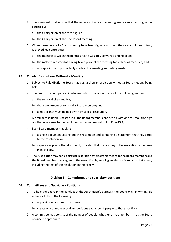- 4) The President must ensure that the minutes of a Board meeting are reviewed and signed as correct by:
	- a) the Chairperson of the meeting; or
	- b) the Chairperson of the next Board meeting.
- 5) When the minutes of a Board meeting have been signed as correct, they are, until the contrary is proved, evidence that:
	- a) the meeting to which the minutes relate was duly convened and held; and
	- b) the matters recorded as having taken place at the meeting took place as recorded; and
	- c) any appointment purportedly made at the meeting was validly made.

## <span id="page-24-0"></span>**43. Circular Resolutions Without a Meeting**

- 1) Subject to **Rule 43(2)**, the Board may pass a circular resolution without a Board meeting being held.
- 2) The Board must not pass a circular resolution in relation to any of the following matters:
	- a) the removal of an auditor;
	- b) the appointment or removal a Board member; and
	- c) a matter that must be dealt with by special resolution.
- 3) A circular resolution is passed if all the Board members entitled to vote on the resolution sign or otherwise agree to the resolution in the manner set out in **Rule 43(4).**
- 4) Each Board member may sign:
	- a) a single document setting out the resolution and containing a statement that they agree to the resolution; or
	- b) separate copies of that document, provided that the wording of the resolution is the same in each copy.
- 5) The Association may send a circular resolution by electronic means to the Board members and the Board members may agree to the resolution by sending an electronic reply to that effect, including the text of the resolution in their reply.

## **Division 5 – Committees and subsidiary positions**

#### <span id="page-24-2"></span><span id="page-24-1"></span>**44. Committees and Subsidiary Positions**

- 1) To help the Board in the conduct of the Association's business, the Board may, in writing, do either or both of the following:
	- a) appoint one or more committees;
	- b) create one or more subsidiary positions and appoint people to those positions.
- 2) A committee may consist of the number of people, whether or not members, that the Board considers appropriate.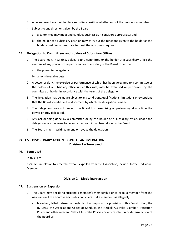- 3) A person may be appointed to a subsidiary position whether or not the person is a member.
- 4) Subject to any directions given by the Board:
	- a) a committee may meet and conduct business as it considers appropriate; and
	- b) the holder of a subsidiary position may carry out the functions given to the holder as the holder considers appropriate to meet the outcomes required.

## <span id="page-25-0"></span>**45. Delegation to Committees and Holders of Subsidiary Offices**

- 1) The Board may, in writing, delegate to a committee or the holder of a subsidiary office the exercise of any power or the performance of any duty of the Board other than:
	- a) the power to delegate; and
	- b) a non-delegable duty.
- 2) A power or duty, the exercise or performance of which has been delegated to a committee or the holder of a subsidiary office under this rule, may be exercised or performed by the committee or holder in accordance with the terms of the delegation.
- 3) The delegation may be made subject to any conditions, qualifications, limitations or exceptions that the Board specifies in the document by which the delegation is made.
- 4) The delegation does not prevent the Board from exercising or performing at any time the power or duty delegated.
- 5) Any act or thing done by a committee or by the holder of a subsidiary office, under the delegation has the same force and effect as if it had been done by the Board.
- 6) The Board may, in writing, amend or revoke the delegation.

## <span id="page-25-1"></span>**PART 5 – DISCIPLINARY ACTION, DISPUTES AND MEDIATION Division 1 – Term used**

#### <span id="page-25-2"></span>**46. Term Used**

In this Part:

*member,* in relation to a member who is expelled from the Association, includes former Individual Member.

## **Division 2 – Disciplinary action**

#### <span id="page-25-4"></span><span id="page-25-3"></span>**47. Suspension or Expulsion**

- 1) The Board may decide to suspend a member's membership or to expel a member from the Association if the Board is advised or considers that a member has allegedly:
	- a) breached, failed, refused or neglected to comply with a provision of this Constitution, the By-Laws, the Associations Codes of Conduct, the Netball Australia Member Protection Policy and other relevant Netball Australia Policies or any resolution or determination of the Board or;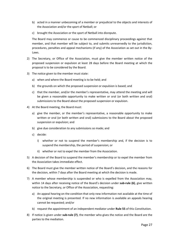- b) acted in a manner unbecoming of a member or prejudicial to the objects and interests of the Association and/or the sport of Netball; or
- c) brought the Association or the sport of Netball into disrepute.

The Board may commence or cause to be commenced disciplinary proceedings against that member, and that member will be subject to, and submits unreservedly to the jurisdiction, procedures, penalties and appeal mechanisms (if any) of the Association as set out in the By-Laws.

- 2) The Secretary, or Office of the Association, must give the member written notice of the proposed suspension or expulsion at least 28 days before the Board meeting at which the proposal is to be considered by the Board.
- 3) The notice given to the member must state:
	- a) when and where the Board meeting is to be held; and
	- b) the grounds on which the proposed suspension or expulsion is based; and
	- c) that the member, and/or the member's representative, may attend the meeting and will be given a reasonable opportunity to make written or oral (or both written and oral) submissions to the Board about the proposed suspension or expulsion.
- 4) At the Board meeting, the Board must:
	- a) give the member, or the member's representative, a reasonable opportunity to make written or oral (or both written and oral) submissions to the Board about the proposed suspension or expulsion; and
	- b) give due consideration to any submissions so made; and
	- c) decide:
		- i) whether or not to suspend the member's membership and, if the decision is to suspend the membership, the period of suspension; or
		- ii) whether or not to expel the member from the Association.
- 5) A decision of the Board to suspend the member's membership or to expel the member from the Association takes immediate effect.
- 6) The Board must give the member written notice of the Board's decision, and the reasons for the decision, within 7 days after the Board meeting at which the decision is made.
- 7) A member whose membership is suspended or who is expelled from the Association may, within 14 days after receiving notice of the Board's decision under **sub-rule (6)**, give written notice to the Secretary, or Office of the Association, requesting:
	- a) An appeal hearing on the condition that only new information not available at the time of the original meeting is presented. If no new information is available an appeals hearing cannot be requested; and/or
	- b) request the appointment of an independent mediator under **Rule 55** of this Constitution.
- 8) If notice is given under **sub-rule (7)**, the member who gives the notice and the Board are the parties to the mediation.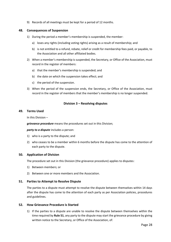9) Records of all meetings must be kept for a period of 12 months.

#### <span id="page-27-0"></span>**48. Consequences of Suspension**

- 1) During the period a member's membership is suspended, the member:
	- a) loses any rights (including voting rights) arising as a result of membership; and
	- b) is not entitled to a refund, rebate, relief or credit for membership fees paid, or payable, to the Association and all other affiliated bodies.
- 2) When a member's membership is suspended, the Secretary, or Office of the Association, must record in the register of members:
	- a) that the member's membership is suspended; and
	- b) the date on which the suspension takes effect; and
	- c) the period of the suspension.
- 3) When the period of the suspension ends, the Secretary, or Office of the Association, must record in the register of members that the member's membership is no longer suspended.

## **Division 3 – Resolving disputes**

#### <span id="page-27-2"></span><span id="page-27-1"></span>**49. Terms Used**

In this Division –

*grievance procedure* means the procedures set out in this Division;

*party to a dispute* includes a person:

- 1) who is a party to the dispute; and
- 2) who ceases to be a member within 6 months before the dispute has come to the attention of each party to the dispute.

#### <span id="page-27-3"></span>**50. Application of Division**

The procedure set out in this Division (the grievance procedure) applies to disputes:

- 1) Between members; or
- 2) Between one or more members and the Association.

## <span id="page-27-4"></span>**51. Parties to Attempt to Resolve Dispute**

The parties to a dispute must attempt to resolve the dispute between themselves within 14 days after the dispute has come to the attention of each party as per Association policies, procedures and guidelines.

#### <span id="page-27-5"></span>**52. How Grievance Procedure is Started**

1) If the parties to a dispute are unable to resolve the dispute between themselves within the time required by **Rule 51**, any party to the dispute may start the grievance procedure by giving written notice to the Secretary, or Office of the Association, of: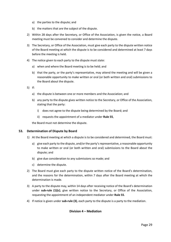- a) the parties to the dispute; and
- b) the matters that are the subject of the dispute.
- 2) Within 28 days after the Secretary, or Office of the Association, is given the notice, a Board meeting must be convened to consider and determine the dispute.
- 3) The Secretary, or Office of the Association, must give each party to the dispute written notice of the Board meeting at which the dispute is to be considered and determined at least 7 days before the meeting is held.
- 4) The notice given to each party to the dispute must state:
	- a) when and where the Board meeting is to be held; and
	- b) that the party, or the party's representative, may attend the meeting and will be given a reasonable opportunity to make written or oral (or both written and oral) submissions to the Board about the dispute.
- 5) If:
	- a) the dispute is between one or more members and the Association; and
	- b) any party to the dispute gives written notice to the Secretary, or Office of the Association, stating that the party:
		- i) does not agree to the dispute being determined by the Board; and
		- ii) requests the appointment of a mediator under **Rule 55**,

the Board must not determine the dispute.

#### <span id="page-28-0"></span>**53. Determination of Dispute by Board**

- 1) At the Board meeting at which a dispute is to be considered and determined, the Board must:
	- a) give each party to the dispute, and/or the party's representative, a reasonable opportunity to make written or oral (or both written and oral) submissions to the Board about the dispute; and
	- b) give due consideration to any submissions so made; and
	- c) determine the dispute.
- 2) The Board must give each party to the dispute written notice of the Board's determination, and the reasons for the determination, within 7 days after the Board meeting at which the determination is made.
- 3) A party to the dispute may, within 14 days after receiving notice of the Board's determination under **sub-rule (1)(c)**, give written notice to the Secretary, or Office of the Association, requesting the appointment of an independent mediator under **Rule 55**.
- <span id="page-28-1"></span>4) If notice is given under **sub-rule (3)**, each party to the dispute is a party to the mediation.

## **Division 4 – Mediation**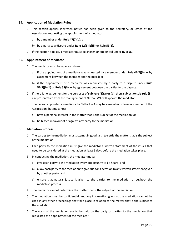#### <span id="page-29-0"></span>**54. Application of Mediation Rules**

- 1) This section applies if written notice has been given to the Secretary, or Office of the Association, requesting the appointment of a mediator:
	- a) by a member under **Rule 47(7)(b)**; or
	- b) by a party to a dispute under **Rule 52(5)(b)(ii)** or **Rule 53(3)**.
- 2) If this section applies, a mediator must be chosen or appointed under **Rule 55**.

## <span id="page-29-1"></span>**55. Appointment of Mediator**

- 1) The mediator must be a person chosen:
	- a) if the appointment of a mediator was requested by a member under **Rule 47(7)(b)** by agreement between the member and the Board; or
	- b) if the appointment of a mediator was requested by a party to a dispute under **Rule 52(5)(b)(ii)** or **Rule 53(3)** — by agreement between the parties to the dispute.
- 2) If there is no agreement for the purposes of **sub-rule (1)(a) or (b)**, then, subject to **sub-rule (3)**, a representative from the management of Netball WA will appoint the mediator.
- 3) The person appointed as mediator by Netball WA may be a member or former member of the Association, but must not:
	- a) have a personal interest in the matter that is the subject of the mediation; or
	- b) be biased in favour of or against any party to the mediation.

#### <span id="page-29-2"></span>**56. Mediation Process**

- 1) The parties to the mediation must attempt in good faith to settle the matter that is the subject of the mediation.
- 2) Each party to the mediation must give the mediator a written statement of the issues that need to be considered at the mediation at least 5 days before the mediation takes place.
- 3) In conducting the mediation, the mediator must:
	- a) give each party to the mediation every opportunity to be heard; and
	- b) allow each party to the mediation to give due consideration to any written statement given by another party; and
	- c) ensure that natural justice is given to the parties to the mediation throughout the mediation process.
- 4) The mediator cannot determine the matter that is the subject of the mediation.
- 5) The mediation must be confidential, and any information given at the mediation cannot be used in any other proceedings that take place in relation to the matter that is the subject of the mediation.
- 6) The costs of the mediation are to be paid by the party or parties to the mediation that requested the appointment of the mediator.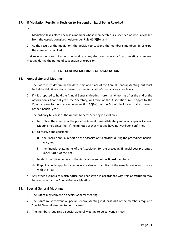## <span id="page-30-0"></span>**57. If Mediation Results in Decision to Suspend or Expel Being Revoked**

If:

- 1) Mediation takes place because a member whose membership is suspended or who is expelled from the Association gives notice under **Rule 47(7)(b)**; and
- 2) As the result of the mediation, the decision to suspend the member's membership or expel the member is revoked,

that revocation does not affect the validity of any decision made at a Board meeting or general meeting during the period of suspension or expulsion.

## **PART 6 – GENERAL MEETINGS OF ASSOCIATION**

## <span id="page-30-2"></span><span id="page-30-1"></span>**58. Annual General Meeting**

- 1) The Board must determine the date, time and place of the Annual General Meeting, but must be held within 6 months of the end of the Association's financial year each year.
- 2) If it is proposed to hold the Annual General Meeting more than 6 months after the end of the Association's financial year, the Secretary, or Office of the Association, must apply to the Commissioner for permission under section **50(3)(b)** of the **Act** within 4 months after the end of the financial year.
- 3) The ordinary business of the Annual General Meeting is as follows:
	- a) to confirm the minutes of the previous Annual General Meeting and of any Special General Meeting held since then if the minutes of that meeting have not yet been confirmed;
	- b) to receive and consider:
		- i) the Board's annual report on the Association's activities during the preceding financial year; and
		- ii) the financial statements of the Association for the preceding financial year presented under **Part 5** of the **Act**.
	- c) to elect the office holders of the Association and other **Board** members;
	- d) if applicable, to appoint or remove a reviewer or auditor of the Association in accordance with the Act;
- 4) Any other business of which notice has been given in accordance with this Constitution may be conducted at the Annual General Meeting.

## <span id="page-30-3"></span>**59. Special General Meetings**

- 1) The **Board** may convene a Special General Meeting.
- 2) The **Board** must convene a Special General Meeting if at least 20% of the members require a Special General Meeting to be convened.
- 3) The members requiring a Special General Meeting to be convened must: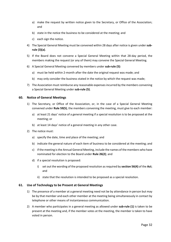- a) make the request by written notice given to the Secretary, or Office of the Association; and
- b) state in the notice the business to be considered at the meeting; and
- c) each sign the notice.
- 4) The Special General Meeting must be convened within 28 days after notice is given under **subrule (3)(a)**.
- 5) If the Board does not convene a Special General Meeting within that 28-day period, the members making the request (or any of them) may convene the Special General Meeting.
- 6) A Special General Meeting convened by members under **sub-rule (5)**:
	- a) must be held within 2-month after the date the original request was made; and
	- b) may only consider the business stated in the notice by which the request was made;
- 7) The Association must reimburse any reasonable expenses incurred by the members convening a Special General Meeting under **sub-rule (5)**.

## <span id="page-31-0"></span>**60. Notice of General Meetings**

- 1) The Secretary, or Office of the Association, or, in the case of a Special General Meeting convened under **Rule 59(5)**, the members convening the meeting, must give to each member:
	- a) at least 21 days' notice of a general meeting if a special resolution is to be proposed at the meeting; or
	- b) at least 14 days' notice of a general meeting in any other case.
- 2) The notice must:
	- a) specify the date, time and place of the meeting; and
	- b) indicate the general nature of each item of business to be considered at the meeting; and
	- c) if the meeting is the Annual General Meeting, include the names of the members who have nominated for election to the Board under **Rule 26(2)**; and
	- d) if a special resolution is proposed:
		- i) set out the wording of the proposed resolution as required by **section 56(4)** of the **Act**; and
		- ii) state that the resolution is intended to be proposed as a special resolution.

#### <span id="page-31-1"></span>**61. Use of Technology to be Present at General Meetings**

- 1) The presence of a member at a general meeting need not be by attendance in person but may be by that member and each other member at the meeting being simultaneously in contact by telephone or other means of instantaneous communication.
- 2) A member who participates in a general meeting as allowed under **sub-rule (1)** is taken to be present at the meeting and, if the member votes at the meeting, the member is taken to have voted in person.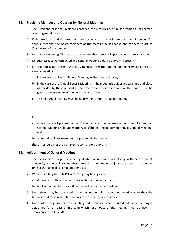## <span id="page-32-0"></span>**62. Presiding Member and Quorum for General Meetings**

- 1) The President, or in the President's absence, the Vice-President must preside as Chairperson of each general meeting.
- 2) If the President and Vice-President are absent or are unwilling to act as Chairperson of a general meeting, the Board members at the meeting must choose one of them to act as Chairperson of the meeting.
- 3) At a general meeting, 75% of the ordinary members present in person constitute a quorum.
- 4) No business is to be conducted at a general meeting unless a quorum is present.
- 5) If a quorum is not present within 30 minutes after the notified commencement time of a general meeting:
	- a) in the case of a Special General Meeting the meeting lapses; or
	- b) in the case of the Annual General Meeting  $-$  the meeting is adjourned to a time and place as decided by those present at the time of the adjournment and written notice is to be given to the members of the new time and place;
	- c) The adjourned meeting must be held within 1 month of adjournment.

#### 6) If:

- a) a quorum is not present within 30 minutes after the commencement time of an Annual General Meeting held under **sub-rule (5)(b)** i.e., the adjourned Annual General Meeting; and
- b) at least 6 ordinary members are present at the meeting,

those members present are taken to constitute a quorum.

## <span id="page-32-1"></span>**63. Adjournment of General Meeting**

- 1) The Chairperson of a general meeting at which a quorum is present may, with the consent of a majority of the ordinary members present at the meeting, adjourn the meeting to another time at the same place or at another place.
- 2) Without limiting **sub-rule (1)**, a meeting may be adjourned:
	- a) if there is insufficient time to deal with the business at hand; or
	- b) to give the members more time to consider an item of business.
- 3) No business may be conducted on the resumption of an adjourned meeting other than the business that remained unfinished when the meeting was adjourned.
- 4) Notice of the adjournment of a meeting under this rule is not required unless the meeting is adjourned for 14 days or more, in which case notice of the meeting must be given in accordance with **Rule 60**.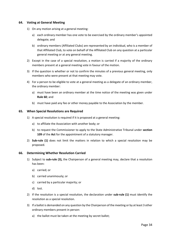## <span id="page-33-0"></span>**64. Voting at General Meeting**

- 1) On any motion arising at a general meeting:
	- a) each ordinary member has one vote to be exercised by the ordinary member's appointed delegate; and
	- b) ordinary members (Affiliated Clubs) are represented by an individual, who is a member of that Affiliated Club, to vote on behalf of the Affiliated Club on any question at a particular general meeting or at any general meeting.
- 2) Except in the case of a special resolution, a motion is carried if a majority of the ordinary members present at a general meeting vote in favour of the motion.
- 3) If the question is whether or not to confirm the minutes of a previous general meeting, only members who were present at that meeting may vote.
- 4) For a person to be eligible to vote at a general meeting as a delegate of an ordinary member, the ordinary member:
	- a) must have been an ordinary member at the time notice of the meeting was given under **Rule 60**; and
	- b) must have paid any fee or other money payable to the Association by the member.

## <span id="page-33-1"></span>**65. When Special Resolutions are Required**

- 1) A special resolution is required if it is proposed at a general meeting:
	- a) to affiliate the Association with another body; or
	- b) to request the Commissioner to apply to the State Administrative Tribunal under **section 109** of the **Act** for the appointment of a statutory manager.
- 2) **Sub-rule (1)** does not limit the matters in relation to which a special resolution may be proposed.

## <span id="page-33-2"></span>**66. Determining Whether Resolution Carried**

- 1) Subject to **sub-rule (3),** the Chairperson of a general meeting may, declare that a resolution has been:
	- a) carried; or
	- b) carried unanimously; or
	- c) carried by a particular majority; or
	- d) lost.
- 2) If the resolution is a special resolution, the declaration under **sub-rule (1)** must identify the resolution as a special resolution.
- 3) If a ballot is demanded on any question by the Chairperson of the meeting or by at least 3 other ordinary members present in person:
	- a) the ballot must be taken at the meeting by secret ballot;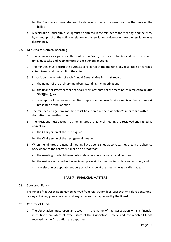- b) the Chairperson must declare the determination of the resolution on the basis of the ballot.
- 4) A declaration under **sub-rule (1)** must be entered in the minutes of the meeting, and the entry is, without proof of the voting in relation to the resolution, evidence of how the resolution was determined.

## <span id="page-34-0"></span>**67. Minutes of General Meeting**

- 1) The Secretary, or a person authorised by the Board, or Office of the Association from time to time, must take and keep minutes of each general meeting.
- 2) The minutes must record the business considered at the meeting, any resolution on which a vote is taken and the result of the vote.
- 3) In addition, the minutes of each Annual General Meeting must record:
	- a) the names of the ordinary members attending the meeting; and
	- b) the financial statements or financial report presented at the meeting, as referred to in **Rule 58(3)(b)(ii)**; and
	- c) any report of the review or auditor's report on the financial statements or financial report presented at the meeting.
- 4) The minutes of a general meeting must be entered in the Association's minute file within 30 days after the meeting is held.
- 5) The President must ensure that the minutes of a general meeting are reviewed and signed as correct by:
	- a) the Chairperson of the meeting; or
	- b) the Chairperson of the next general meeting.
- 6) When the minutes of a general meeting have been signed as correct, they are, in the absence of evidence to the contrary, taken to be proof that:
	- a) the meeting to which the minutes relate was duly convened and held; and
	- b) the matters recorded as having taken place at the meeting took place as recorded; and
	- c) any election or appointment purportedly made at the meeting was validly made.

## **PART 7 – FINANCIAL MATTERS**

#### <span id="page-34-2"></span><span id="page-34-1"></span>**68. Source of Funds**

The funds of the Association may be derived from registration fees, subscriptions, donations, fundraising activities, grants, interest and any other sources approved by the Board.

#### <span id="page-34-3"></span>**69. Control of Funds**

1) The Association must open an account in the name of the Association with a financial institution from which all expenditure of the Association is made and into which all funds received by the Association are deposited.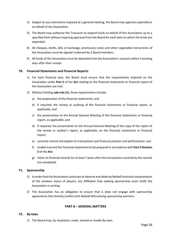- 2) Subject to any restrictions imposed at a general meeting, the Board may approve expenditure on behalf of the Association.
- 3) The Board may authorise the Treasurer to expend funds on behalf of the Association up to a specified limit without requiring approval from the Board for each item on which the funds are expended.
- 4) All cheques, drafts, bills of exchange, promissory notes and other negotiable instruments of the Association must be signed/ endorsed by 2 Board members.
- 5) All funds of the Association must be deposited into the Association's account within 5 working days after their receipt.

## <span id="page-35-0"></span>**70. Financial Statements and Financial Reports**

- 1) For each financial year, the Board must ensure that the requirements imposed on the Association under **Part 5** of the **Act** relating to the financial statements or financial report of the Association are met.
- 2) Without limiting **sub-rule (1)**, those requirements include:
	- a) the preparation of the financial statements; and
	- b) if required, the review or auditing of the financial statements or financial report, as applicable; and
	- c) the presentation to the Annual General Meeting of the financial statements or financial report, as applicable; and
	- d) if required, the presentation to the Annual General Meeting of the copy of the report of the review or auditor's report, as applicable, on the financial statements or financial report;
	- e) correctly record and explain its transactions and financial position and performance; and
	- f) enable true and fair financial statements to be prepared in accordance with **Part 5 Division 3** of the **Act**;
	- g) retain its financial records for at least 7 years after the transactions covered by the records are completed.

#### <span id="page-35-1"></span>**71. Sponsorship**

- 1) In order that the Association continues to observe and abide by Netball Australia interpretation of the amateur status of players, any Affiliated Club seeking sponsorship must notify the Association in writing.
- 2) The Association has an obligation to ensure that is does not engage with sponsorship agreements that directly conflict with Netball WA existing sponsorship partners.

## **PART 8 – GENERAL MATTERS**

#### <span id="page-35-3"></span><span id="page-35-2"></span>**72. By-laws**

1) The Board may, by resolution, make, amend or revoke By-laws.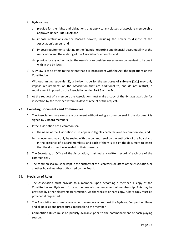- 2) By-laws may:
	- a) provide for the rights and obligations that apply to any classes of associate membership approved under **Rule 11(2)**; and
	- b) impose restrictions on the Board's powers, including the power to dispose of the Association's assets; and
	- c) impose requirements relating to the financial reporting and financial accountability of the Association and the auditing of the Association's accounts; and
	- d) provide for any other matter the Association considers necessary or convenient to be dealt with in the By-laws.
- 3) A By-law is of no effect to the extent that it is inconsistent with the Act, the regulations or this Constitution.
- 4) Without limiting **sub-rule (3),** a by-law made for the purposes of **sub-rule (2)(c)** may only impose requirements on the Association that are additional to, and do not restrict, a requirement imposed on the Association under **Part 5** of the **Act**.
- 5) At the request of a member, the Association must make a copy of the By-laws available for inspection by the member within 14 days of receipt of the request.

## <span id="page-36-0"></span>**73. Executing Documents and Common Seal**

- 1) The Association may execute a document without using a common seal if the document is signed by 2 Board members.
- 2) If the Association has a common seal:
	- a) the name of the Association must appear in legible characters on the common seal; and
	- b) a document may only be sealed with the common seal by the authority of the Board and in the presence of 2 Board members, and each of them is to sign the document to attest that the document was sealed in their presence.
- 3) The Secretary, or Office of the Association, must make a written record of each use of the common seal.
- 4) The common seal must be kept in the custody of the Secretary, or Office of the Association, or another Board member authorised by the Board.

#### <span id="page-36-1"></span>**74. Provision of Rules**

- 1) The Association must provide to a member, upon becoming a member, a copy of the Constitution and By-laws in force at the time of commencement of membership. This may be provided by either electronic transmission, via the website or hard copy. A hard copy must be provided if requested.
- 2) The Association must make available to members on request the By-laws, Competition Rules and all policies and procedures applicable to the member.
- 3) Competition Rules must be publicly available prior to the commencement of each playing season.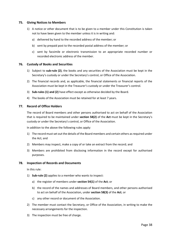#### <span id="page-37-0"></span>**75. Giving Notices to Members**

- 1) A notice or other document that is to be given to a member under this Constitution is taken not to have been given to the member unless it is in writing and:
	- a) delivered by hand to the recorded address of the member; or
	- b) sent by prepaid post to the recorded postal address of the member; or
	- c) sent by facsimile or electronic transmission to an appropriate recorded number or recorded electronic address of the member.

#### <span id="page-37-1"></span>**76. Custody of Books and Securities**

- 1) Subject to **sub-rule (2)**, the books and any securities of the Association must be kept in the Secretary's custody or under the Secretary's control, or Office of the Association.
- 2) The financial records and, as applicable, the financial statements or financial reports of the Association must be kept in the Treasurer's custody or under the Treasurer's control.
- 3) **Sub-rules (1) and (2)** have effect except as otherwise decided by the Board.
- 4) The books of the Association must be retained for at least 7 years.

## <span id="page-37-2"></span>**77. Record of Office Holders**

The record of Board members and other persons authorised to act on behalf of the Association that is required to be maintained under **section 58(2)** of the **Act** must be kept in the Secretary's custody or under the Secretary's control, or Office of the Association.

In addition to the above the following rules apply:

- 1) The record must set out the details of the Board members and certain others as required under the Act; and
- 2) Members may inspect, make a copy of or take an extract from the record; and
- 3) Members are prohibited from disclosing information in the record except for authorised purposes.

#### <span id="page-37-3"></span>**78. Inspection of Records and Documents**

In this rule:

- 1) **Sub-rule (2)** applies to a member who wants to inspect:
	- a) the register of members under **section 54(1)** of the **Act**; or
	- b) the record of the names and addresses of Board members, and other persons authorised to act on behalf of the Association, under **section 58(3)** of the **Act**; or
	- c) any other record or document of the Association.
- 2) The member must contact the Secretary, or Office of the Association, in writing to make the necessary arrangements for the inspection.
- 3) The inspection must be free of charge.